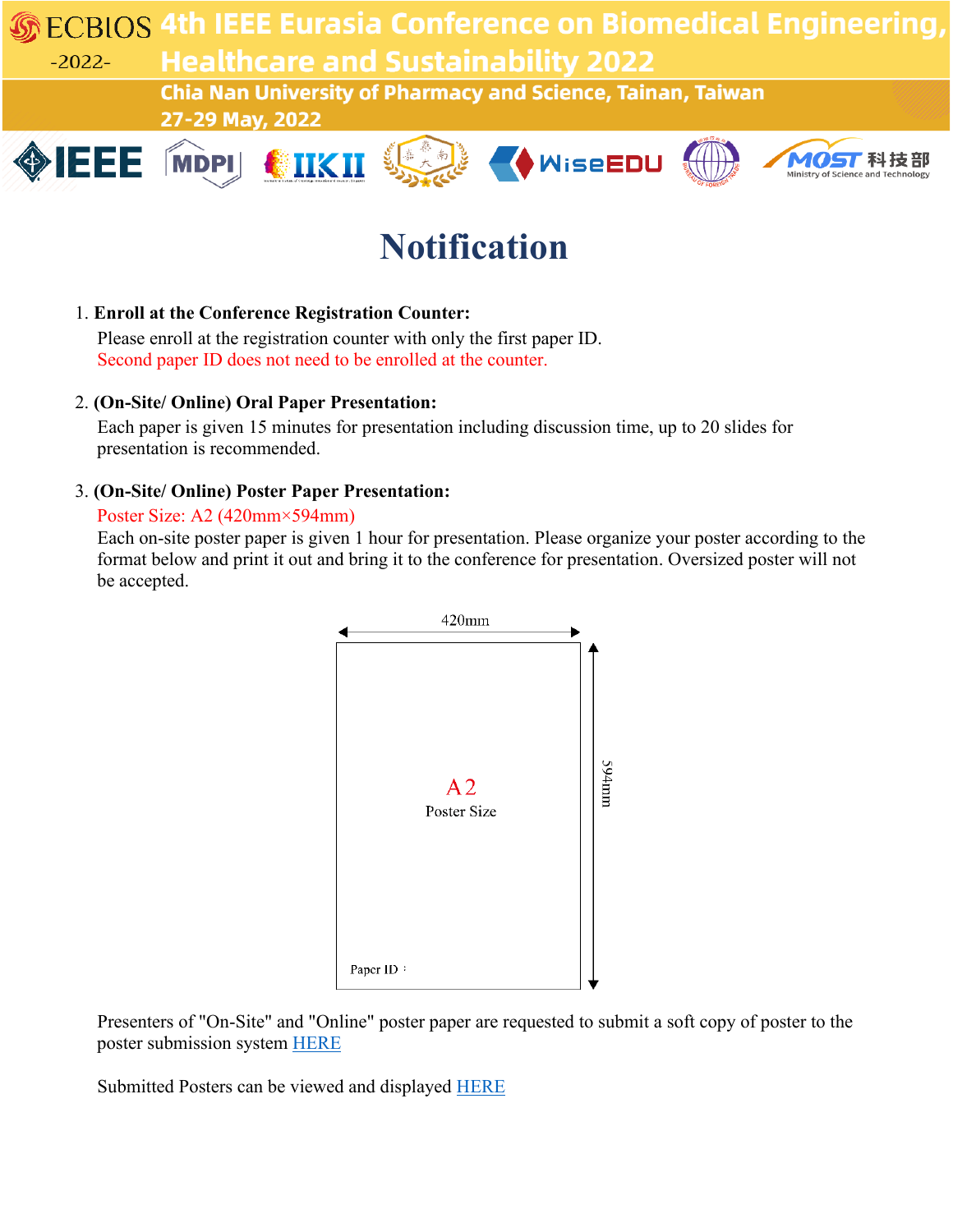**ECBIOS 4th IEEE Eurasia Conference on Biomedical Engineering Healthcare and Sustainability 2022**  $-2022-$ 

**Chia Nan University of Pharmacy and Science, Tainan, Taiwan** 27-29 May, 2022











# **Notification**

#### 1. **Enroll at the Conference Registration Counter:**

Please enroll at the registration counter with only the first paper ID. Second paper ID does not need to be enrolled at the counter.

## 2. **(On-Site/ Online) Oral Paper Presentation:**

Each paper is given 15 minutes for presentation including discussion time, up to 20 slides for presentation is recommended.

## 3. **(On-Site/ Online) Poster Paper Presentation:**

#### Poster Size: A2 (420mm×594mm)

Each on-site poster paper is given 1 hour for presentation. Please organize your poster according to the format below and print it out and bring it to the conference for presentation. Oversized poster will not be accepted.



Presenters of "On-Site" and "Online" poster paper are requested to submit a soft copy of poster to the poster submission system [HERE](https://ocs.ecbios.asia/site/login_ra.aspx?sid=1409&lang=en&redir=order/1339/a01_PosterPresentation.aspx)

Submitted Posters can be viewed and displayed [HERE](https://ocs.ecbios.asia/site/login_ra.aspx?sid=1409&lang=en&redir=order/1409/viewposter.aspx)